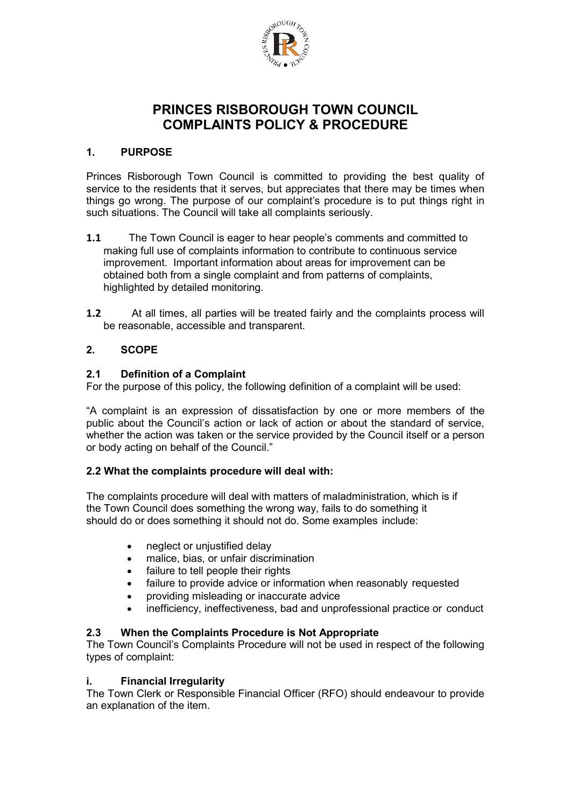

# **PRINCES RISBOROUGH TOWN COUNCIL COMPLAINTS POLICY & PROCEDURE**

## **1. PURPOSE**

Princes Risborough Town Council is committed to providing the best quality of service to the residents that it serves, but appreciates that there may be times when things go wrong. The purpose of our complaint's procedure is to put things right in such situations. The Council will take all complaints seriously.

- **1.1** The Town Council is eager to hear people's comments and committed to making full use of complaints information to contribute to continuous service improvement. Important information about areas for improvement can be obtained both from a single complaint and from patterns of complaints, highlighted by detailed monitoring.
- **1.2** At all times, all parties will be treated fairly and the complaints process will be reasonable, accessible and transparent.

## **2. SCOPE**

## **2.1 Definition of a Complaint**

For the purpose of this policy, the following definition of a complaint will be used:

"A complaint is an expression of dissatisfaction by one or more members of the public about the Council's action or lack of action or about the standard of service, whether the action was taken or the service provided by the Council itself or a person or body acting on behalf of the Council."

## **2.2 What the complaints procedure will deal with:**

The complaints procedure will deal with matters of maladministration, which is if the Town Council does something the wrong way, fails to do something it should do or does something it should not do. Some examples include:

- neglect or unjustified delay
- malice, bias, or unfair discrimination
- failure to tell people their rights
- failure to provide advice or information when reasonably requested
- providing misleading or inaccurate advice
- inefficiency, ineffectiveness, bad and unprofessional practice or conduct

#### **2.3 When the Complaints Procedure is Not Appropriate**

The Town Council's Complaints Procedure will not be used in respect of the following types of complaint:

#### **i. Financial Irregularity**

The Town Clerk or Responsible Financial Officer (RFO) should endeavour to provide an explanation of the item.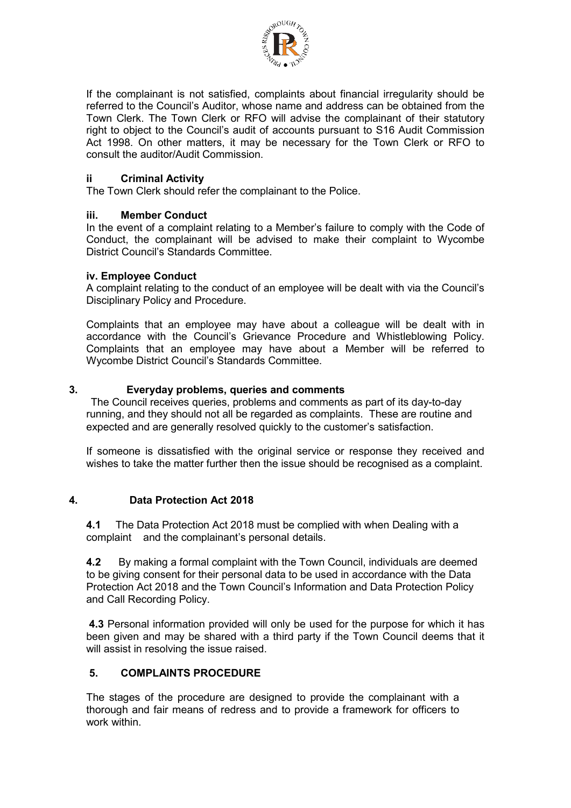

If the complainant is not satisfied, complaints about financial irregularity should be referred to the Council's Auditor, whose name and address can be obtained from the Town Clerk. The Town Clerk or RFO will advise the complainant of their statutory right to object to the Council's audit of accounts pursuant to S16 Audit Commission Act 1998. On other matters, it may be necessary for the Town Clerk or RFO to consult the auditor/Audit Commission.

## **ii Criminal Activity**

The Town Clerk should refer the complainant to the Police.

## **iii. Member Conduct**

In the event of a complaint relating to a Member's failure to comply with the Code of Conduct, the complainant will be advised to make their complaint to Wycombe District Council's Standards Committee.

#### **iv. Employee Conduct**

A complaint relating to the conduct of an employee will be dealt with via the Council's Disciplinary Policy and Procedure.

Complaints that an employee may have about a colleague will be dealt with in accordance with the Council's Grievance Procedure and Whistleblowing Policy. Complaints that an employee may have about a Member will be referred to Wycombe District Council's Standards Committee.

## **3. Everyday problems, queries and comments**

 The Council receives queries, problems and comments as part of its day-to-day running, and they should not all be regarded as complaints. These are routine and expected and are generally resolved quickly to the customer's satisfaction.

If someone is dissatisfied with the original service or response they received and wishes to take the matter further then the issue should be recognised as a complaint.

#### **4. Data Protection Act 2018**

**4.1** The Data Protection Act 2018 must be complied with when Dealing with a complaint and the complainant's personal details.

**4.2** By making a formal complaint with the Town Council, individuals are deemed to be giving consent for their personal data to be used in accordance with the Data Protection Act 2018 and the Town Council's Information and Data Protection Policy and Call Recording Policy.

**4.3** Personal information provided will only be used for the purpose for which it has been given and may be shared with a third party if the Town Council deems that it will assist in resolving the issue raised.

## **5. COMPLAINTS PROCEDURE**

The stages of the procedure are designed to provide the complainant with a thorough and fair means of redress and to provide a framework for officers to work within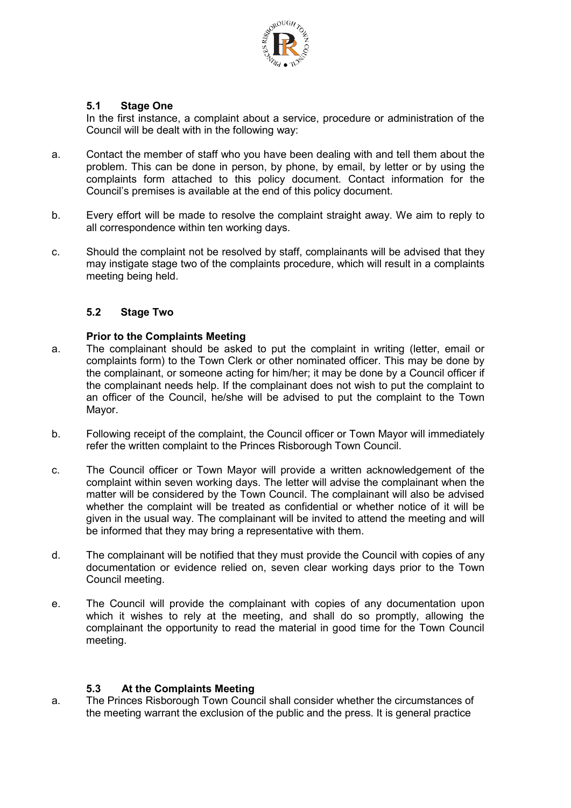

## **5.1 Stage One**

In the first instance, a complaint about a service, procedure or administration of the Council will be dealt with in the following way:

- a. Contact the member of staff who you have been dealing with and tell them about the problem. This can be done in person, by phone, by email, by letter or by using the complaints form attached to this policy document. Contact information for the Council's premises is available at the end of this policy document.
- b. Every effort will be made to resolve the complaint straight away. We aim to reply to all correspondence within ten working days.
- c. Should the complaint not be resolved by staff, complainants will be advised that they may instigate stage two of the complaints procedure, which will result in a complaints meeting being held.

## **5.2 Stage Two**

#### **Prior to the Complaints Meeting**

- a. The complainant should be asked to put the complaint in writing (letter, email or complaints form) to the Town Clerk or other nominated officer. This may be done by the complainant, or someone acting for him/her; it may be done by a Council officer if the complainant needs help. If the complainant does not wish to put the complaint to an officer of the Council, he/she will be advised to put the complaint to the Town Mayor.
- b. Following receipt of the complaint, the Council officer or Town Mayor will immediately refer the written complaint to the Princes Risborough Town Council.
- c. The Council officer or Town Mayor will provide a written acknowledgement of the complaint within seven working days. The letter will advise the complainant when the matter will be considered by the Town Council. The complainant will also be advised whether the complaint will be treated as confidential or whether notice of it will be given in the usual way. The complainant will be invited to attend the meeting and will be informed that they may bring a representative with them.
- d. The complainant will be notified that they must provide the Council with copies of any documentation or evidence relied on, seven clear working days prior to the Town Council meeting.
- e. The Council will provide the complainant with copies of any documentation upon which it wishes to rely at the meeting, and shall do so promptly, allowing the complainant the opportunity to read the material in good time for the Town Council meeting.

#### **5.3 At the Complaints Meeting**

a. The Princes Risborough Town Council shall consider whether the circumstances of the meeting warrant the exclusion of the public and the press. It is general practice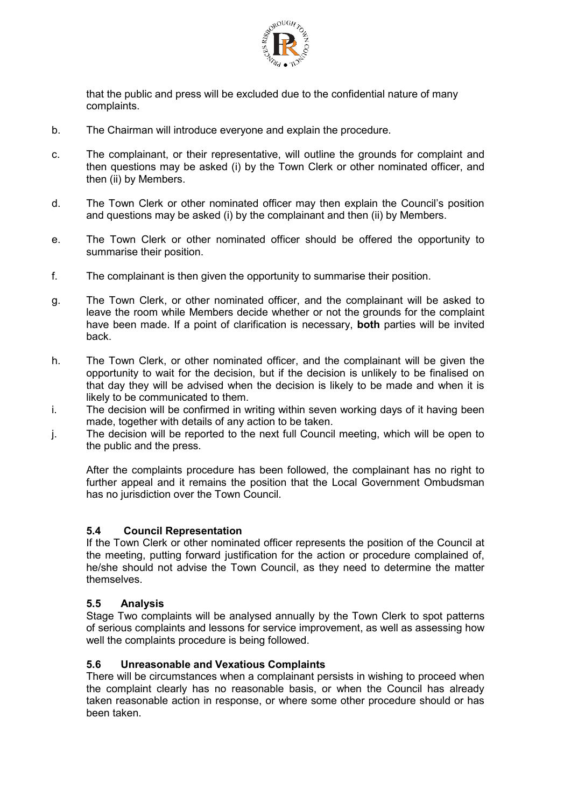

that the public and press will be excluded due to the confidential nature of many complaints.

- b. The Chairman will introduce everyone and explain the procedure.
- c. The complainant, or their representative, will outline the grounds for complaint and then questions may be asked (i) by the Town Clerk or other nominated officer, and then (ii) by Members.
- d. The Town Clerk or other nominated officer may then explain the Council's position and questions may be asked (i) by the complainant and then (ii) by Members.
- e. The Town Clerk or other nominated officer should be offered the opportunity to summarise their position.
- f. The complainant is then given the opportunity to summarise their position.
- g. The Town Clerk, or other nominated officer, and the complainant will be asked to leave the room while Members decide whether or not the grounds for the complaint have been made. If a point of clarification is necessary, **both** parties will be invited back.
- h. The Town Clerk, or other nominated officer, and the complainant will be given the opportunity to wait for the decision, but if the decision is unlikely to be finalised on that day they will be advised when the decision is likely to be made and when it is likely to be communicated to them.
- i. The decision will be confirmed in writing within seven working days of it having been made, together with details of any action to be taken.
- j. The decision will be reported to the next full Council meeting, which will be open to the public and the press.

After the complaints procedure has been followed, the complainant has no right to further appeal and it remains the position that the Local Government Ombudsman has no jurisdiction over the Town Council.

#### **5.4 Council Representation**

If the Town Clerk or other nominated officer represents the position of the Council at the meeting, putting forward justification for the action or procedure complained of, he/she should not advise the Town Council, as they need to determine the matter themselves.

#### **5.5 Analysis**

Stage Two complaints will be analysed annually by the Town Clerk to spot patterns of serious complaints and lessons for service improvement, as well as assessing how well the complaints procedure is being followed.

#### **5.6 Unreasonable and Vexatious Complaints**

There will be circumstances when a complainant persists in wishing to proceed when the complaint clearly has no reasonable basis, or when the Council has already taken reasonable action in response, or where some other procedure should or has been taken.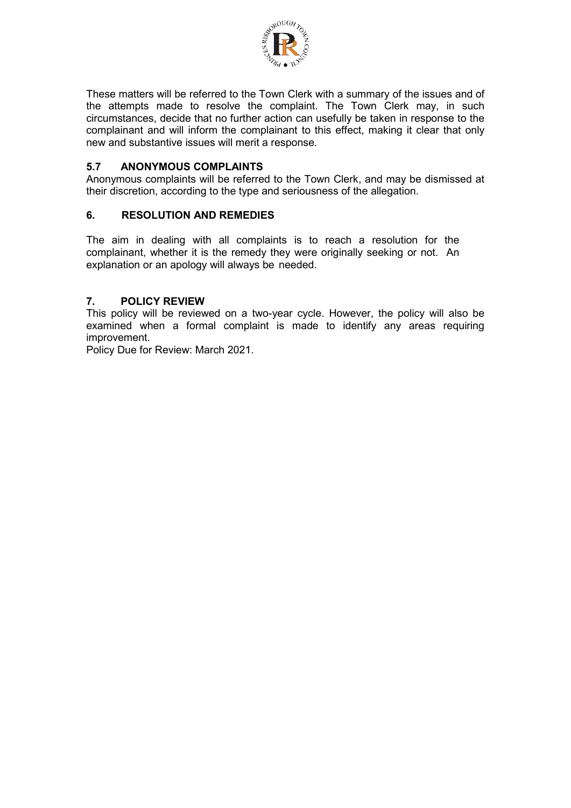

These matters will be referred to the Town Clerk with a summary of the issues and of the attempts made to resolve the complaint. The Town Clerk may, in such circumstances, decide that no further action can usefully be taken in response to the complainant and will inform the complainant to this effect, making it clear that only new and substantive issues will merit a response.

## **5.7 ANONYMOUS COMPLAINTS**

Anonymous complaints will be referred to the Town Clerk, and may be dismissed at their discretion, according to the type and seriousness of the allegation.

## **6. RESOLUTION AND REMEDIES**

The aim in dealing with all complaints is to reach a resolution for the complainant, whether it is the remedy they were originally seeking or not. An explanation or an apology will always be needed.

#### **7. POLICY REVIEW**

This policy will be reviewed on a two-year cycle. However, the policy will also be examined when a formal complaint is made to identify any areas requiring improvement.

Policy Due for Review: March 2021.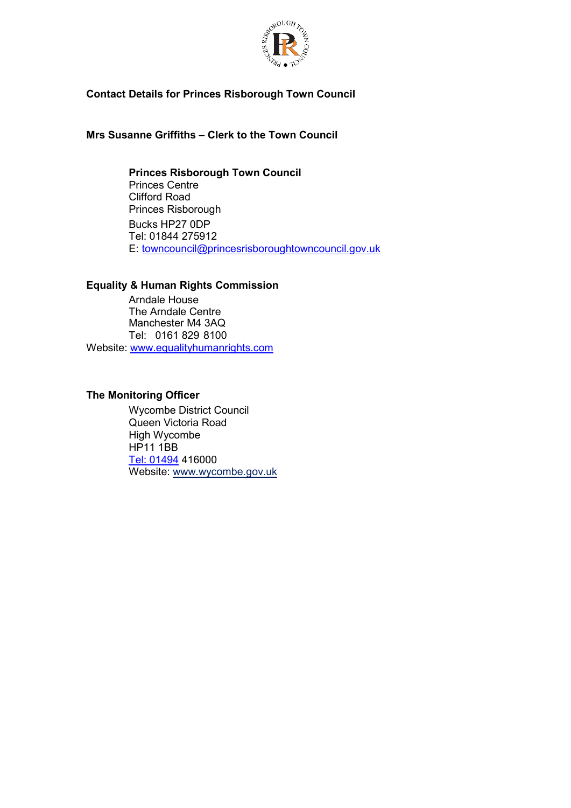

## **Contact Details for Princes Risborough Town Council**

**Mrs Susanne Griffiths – Clerk to the Town Council** 

**Princes Risborough Town Council** Princes Centre Clifford Road Princes Risborough Bucks HP27 0DP Tel: 01844 275912 E: [towncouncil@princesrisboroughtowncouncil.gov.uk](mailto:towncouncil@princesrisboroughtowncouncil.gov.uk)

## **Equality & Human Rights Commission**

Arndale House The Arndale Centre Manchester M4 3AQ Tel: 0161 829 8100 Website: [www.equalityhumanrights.com](http://www.equalityhumanrights.com/)

## **The Monitoring Officer**

Wycombe District Council Queen Victoria Road High Wycombe HP11 1BB [Tel: 01494](tel:01494) 416000 Website: www.wycombe.gov.uk